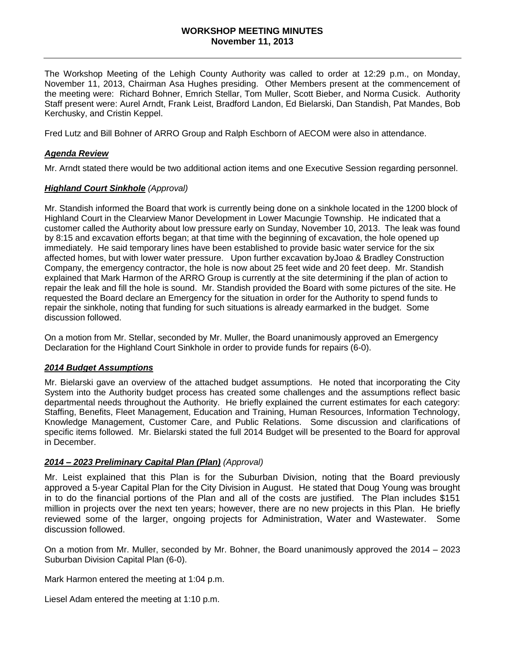#### **WORKSHOP MEETING MINUTES November 11, 2013**

The Workshop Meeting of the Lehigh County Authority was called to order at 12:29 p.m., on Monday, November 11, 2013, Chairman Asa Hughes presiding. Other Members present at the commencement of the meeting were: Richard Bohner, Emrich Stellar, Tom Muller, Scott Bieber, and Norma Cusick. Authority Staff present were: Aurel Arndt, Frank Leist, Bradford Landon, Ed Bielarski, Dan Standish, Pat Mandes, Bob Kerchusky, and Cristin Keppel.

Fred Lutz and Bill Bohner of ARRO Group and Ralph Eschborn of AECOM were also in attendance.

### *Agenda Review*

Mr. Arndt stated there would be two additional action items and one Executive Session regarding personnel.

### *Highland Court Sinkhole (Approval)*

Mr. Standish informed the Board that work is currently being done on a sinkhole located in the 1200 block of Highland Court in the Clearview Manor Development in Lower Macungie Township. He indicated that a customer called the Authority about low pressure early on Sunday, November 10, 2013. The leak was found by 8:15 and excavation efforts began; at that time with the beginning of excavation, the hole opened up immediately. He said temporary lines have been established to provide basic water service for the six affected homes, but with lower water pressure. Upon further excavation byJoao & Bradley Construction Company, the emergency contractor, the hole is now about 25 feet wide and 20 feet deep. Mr. Standish explained that Mark Harmon of the ARRO Group is currently at the site determining if the plan of action to repair the leak and fill the hole is sound. Mr. Standish provided the Board with some pictures of the site. He requested the Board declare an Emergency for the situation in order for the Authority to spend funds to repair the sinkhole, noting that funding for such situations is already earmarked in the budget. Some discussion followed.

On a motion from Mr. Stellar, seconded by Mr. Muller, the Board unanimously approved an Emergency Declaration for the Highland Court Sinkhole in order to provide funds for repairs (6-0).

### *2014 Budget Assumptions*

Mr. Bielarski gave an overview of the attached budget assumptions. He noted that incorporating the City System into the Authority budget process has created some challenges and the assumptions reflect basic departmental needs throughout the Authority. He briefly explained the current estimates for each category: Staffing, Benefits, Fleet Management, Education and Training, Human Resources, Information Technology, Knowledge Management, Customer Care, and Public Relations. Some discussion and clarifications of specific items followed. Mr. Bielarski stated the full 2014 Budget will be presented to the Board for approval in December.

### *2014 – 2023 Preliminary Capital Plan (Plan) (Approval)*

Mr. Leist explained that this Plan is for the Suburban Division, noting that the Board previously approved a 5-year Capital Plan for the City Division in August. He stated that Doug Young was brought in to do the financial portions of the Plan and all of the costs are justified. The Plan includes \$151 million in projects over the next ten years; however, there are no new projects in this Plan. He briefly reviewed some of the larger, ongoing projects for Administration, Water and Wastewater. Some discussion followed.

On a motion from Mr. Muller, seconded by Mr. Bohner, the Board unanimously approved the 2014 – 2023 Suburban Division Capital Plan (6-0).

Mark Harmon entered the meeting at 1:04 p.m.

Liesel Adam entered the meeting at 1:10 p.m.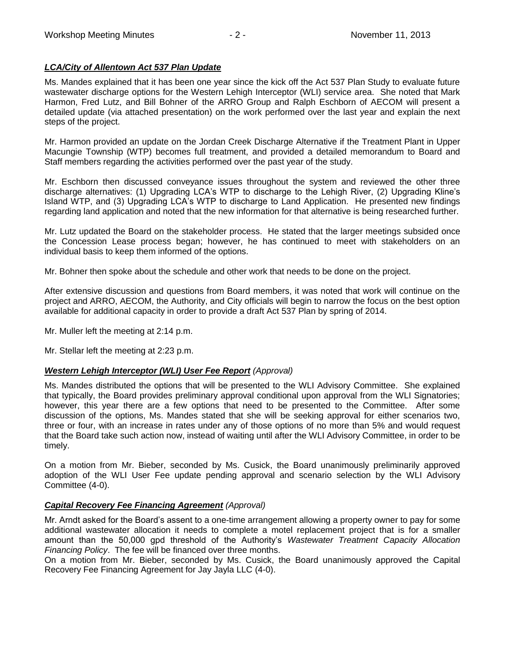## *LCA/City of Allentown Act 537 Plan Update*

Ms. Mandes explained that it has been one year since the kick off the Act 537 Plan Study to evaluate future wastewater discharge options for the Western Lehigh Interceptor (WLI) service area. She noted that Mark Harmon, Fred Lutz, and Bill Bohner of the ARRO Group and Ralph Eschborn of AECOM will present a detailed update (via attached presentation) on the work performed over the last year and explain the next steps of the project.

Mr. Harmon provided an update on the Jordan Creek Discharge Alternative if the Treatment Plant in Upper Macungie Township (WTP) becomes full treatment, and provided a detailed memorandum to Board and Staff members regarding the activities performed over the past year of the study.

Mr. Eschborn then discussed conveyance issues throughout the system and reviewed the other three discharge alternatives: (1) Upgrading LCA's WTP to discharge to the Lehigh River, (2) Upgrading Kline's Island WTP, and (3) Upgrading LCA's WTP to discharge to Land Application. He presented new findings regarding land application and noted that the new information for that alternative is being researched further.

Mr. Lutz updated the Board on the stakeholder process. He stated that the larger meetings subsided once the Concession Lease process began; however, he has continued to meet with stakeholders on an individual basis to keep them informed of the options.

Mr. Bohner then spoke about the schedule and other work that needs to be done on the project.

After extensive discussion and questions from Board members, it was noted that work will continue on the project and ARRO, AECOM, the Authority, and City officials will begin to narrow the focus on the best option available for additional capacity in order to provide a draft Act 537 Plan by spring of 2014.

Mr. Muller left the meeting at 2:14 p.m.

Mr. Stellar left the meeting at 2:23 p.m.

### *Western Lehigh Interceptor (WLI) User Fee Report (Approval)*

Ms. Mandes distributed the options that will be presented to the WLI Advisory Committee. She explained that typically, the Board provides preliminary approval conditional upon approval from the WLI Signatories; however, this year there are a few options that need to be presented to the Committee. After some discussion of the options, Ms. Mandes stated that she will be seeking approval for either scenarios two, three or four, with an increase in rates under any of those options of no more than 5% and would request that the Board take such action now, instead of waiting until after the WLI Advisory Committee, in order to be timely.

On a motion from Mr. Bieber, seconded by Ms. Cusick, the Board unanimously preliminarily approved adoption of the WLI User Fee update pending approval and scenario selection by the WLI Advisory Committee (4-0).

### *Capital Recovery Fee Financing Agreement (Approval)*

Mr. Arndt asked for the Board's assent to a one-time arrangement allowing a property owner to pay for some additional wastewater allocation it needs to complete a motel replacement project that is for a smaller amount than the 50,000 gpd threshold of the Authority's *Wastewater Treatment Capacity Allocation Financing Policy*. The fee will be financed over three months.

On a motion from Mr. Bieber, seconded by Ms. Cusick, the Board unanimously approved the Capital Recovery Fee Financing Agreement for Jay Jayla LLC (4-0).